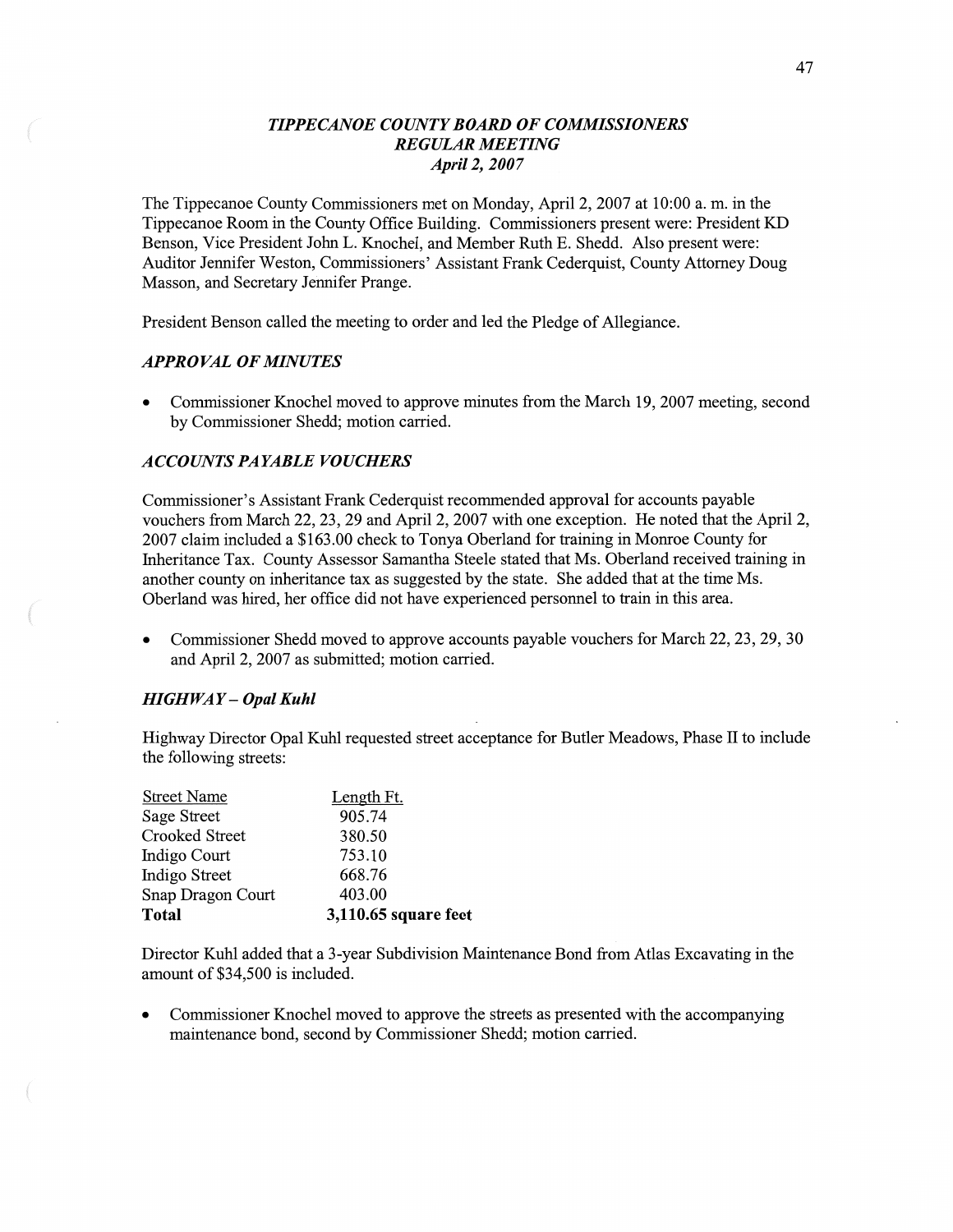# *TIPPECANOE COUNTY BOARD* OF *COMMISSIONERS REGULAR MEETING April* 2, *2007*

The Tippecanoe County Commissioners met on Monday, April 2, 2007 at 10:00 a. m. in the Tippecanoe Room in the County Office Building. Commissioners present were: President KD Benson, Vice President John L. Knochel, and Member Ruth E. Shedd. **Also** present were: Auditor Jennifer Weston, Commissioners' Assistant Frank Cederquist, County Attorney Doug Masson, and Secretary Jennifer Prange.

President Benson called the meeting to order and led the Pledge of Allegiance.

# *APPROVAL* OF *MINUTES*

**0** Commissioner Knochel moved to approve minutes from the March 19, 2007 meeting, second by Commissioner Shedd; motion carried.

## *A* CCO UN TS PA *YABLE* V0 *U CHERS*

Commissioner's Assistant Frank Cederquist recommended approval for accounts payable vouchers from March 22, 23, 29 and April 2, 2007 with one exception. He noted that the April 2, 2007 claim included a \$163.00 check to Tonya Oberland for training in Monroe County for Inheritance Tax. County Assessor **Samantha** Steele stated that Ms. Oberland received training in another county on inheritance tax as suggested by the state. She added that at the time Ms. Oberland was hired, her office did not **have** experienced personnel to train in this area.

**0** Commissioner Shedd **moved** to approve accounts payable vouchers for March 22, 23, 29, 30 and April 2, 2007 as submitted; motion carried.

#### *HIGH* WAY - *Opal Kuhl*

Highway Director Opal Kuhl requested street acceptance for Butler Meadows, Phase II to include the following streets:

| Snap Dragon Court<br><b>Total</b> | 403.00<br>3,110.65 square feet |
|-----------------------------------|--------------------------------|
| Indigo Street                     | 668.76                         |
| Indigo Court                      | 753.10                         |
| Crooked Street                    | 380.50                         |
| Sage Street                       | 905.74                         |
| <b>Street Name</b>                | Length Ft.                     |

Director Kuhl added that a 3-year Subdivision Maintenance Bond from Atlas Excavating in the **amount** of \$34,500 is included.

**0** Commissioner Knochel **moved** to approve the streets as presented with the accompanying maintenance bond, second by Commissioner Shedd; motion carried.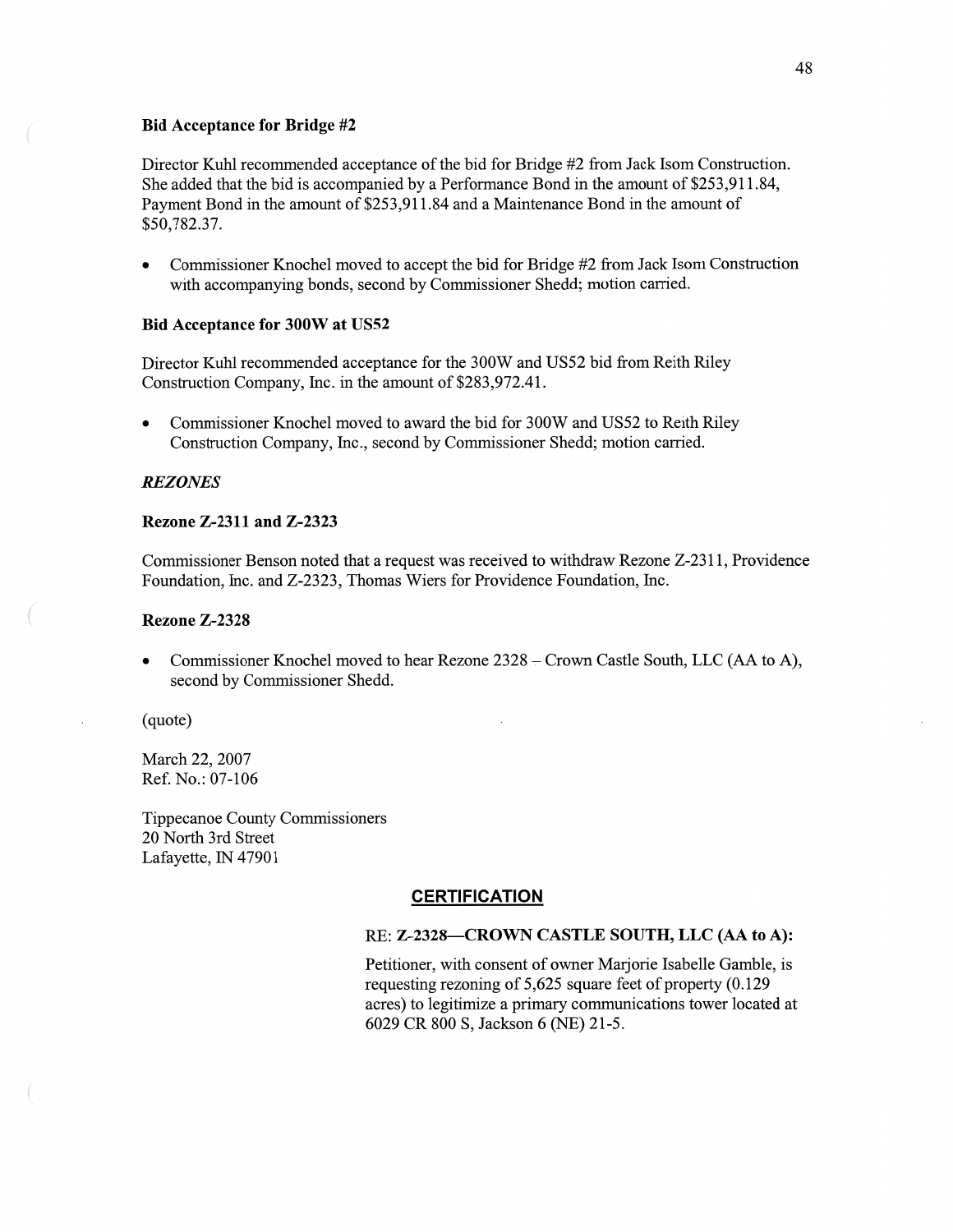#### Bid **Acceptance** for **Bridge** #2

Director Kuhl recommended acceptance of the bid for Bridge #2 from Jack Isom Construction. She added that the bid is accompanied by a Performance Bond in the amount of \$253,911.84, Payment Bond in the amount of \$253,911.84 and a Maintenance Bond in the amount of \$50,782.37.

*0* Commissioner Knochel **moved** to accept the bid for Bridge #2 fiom Jack Isom Construction with accompanying bonds, second by Commissioner Shedd; motion carried.

#### Bid **Acceptance** for **300W** at **U852**

Director Kuhl recommended acceptance for the 300W and U852 bid from Reith Riley Construction Company, Inc. in the amount of \$283,972.41.

**0** Commissioner Knochel moved to award the bid for 300W and U852 to Reith Riley Construction Company, Inc., second by Commissioner Shedd; motion carried.

#### *REZONES*

### **Rezone Z-2311** and **Z—2323**

Commissioner Benson noted that a request was received to withdraw Rezone Z-2311, Providence Foundation, Inc. and Z-2323, Thomas Wiers for Providence Foundation, Inc.

#### **Rezone Z—2328**

Commissioner Knochel moved to hear Rezone 2328 – Crown Castle South, LLC (AA to A), second by Commissioner Shedd.

(quote)

March 22, 2007 Ref. No.: 07-106

Tippecanoe County Commissioners 20 North 3rd Street Lafayette, IN 47901

## **CERTIFICATION**

#### RE: **Z—2328—CROWN CASTLE SOUTH,** LLC (AA to A):

Petitioner, with consent of owner Marjorie Isabelle Gamble, is requesting rezoning of 5,625 square feet of property (0.129 acres) to legitimize a primary communications tower located at 6029 CR 800 S, Jackson 6 (NE) 21-5.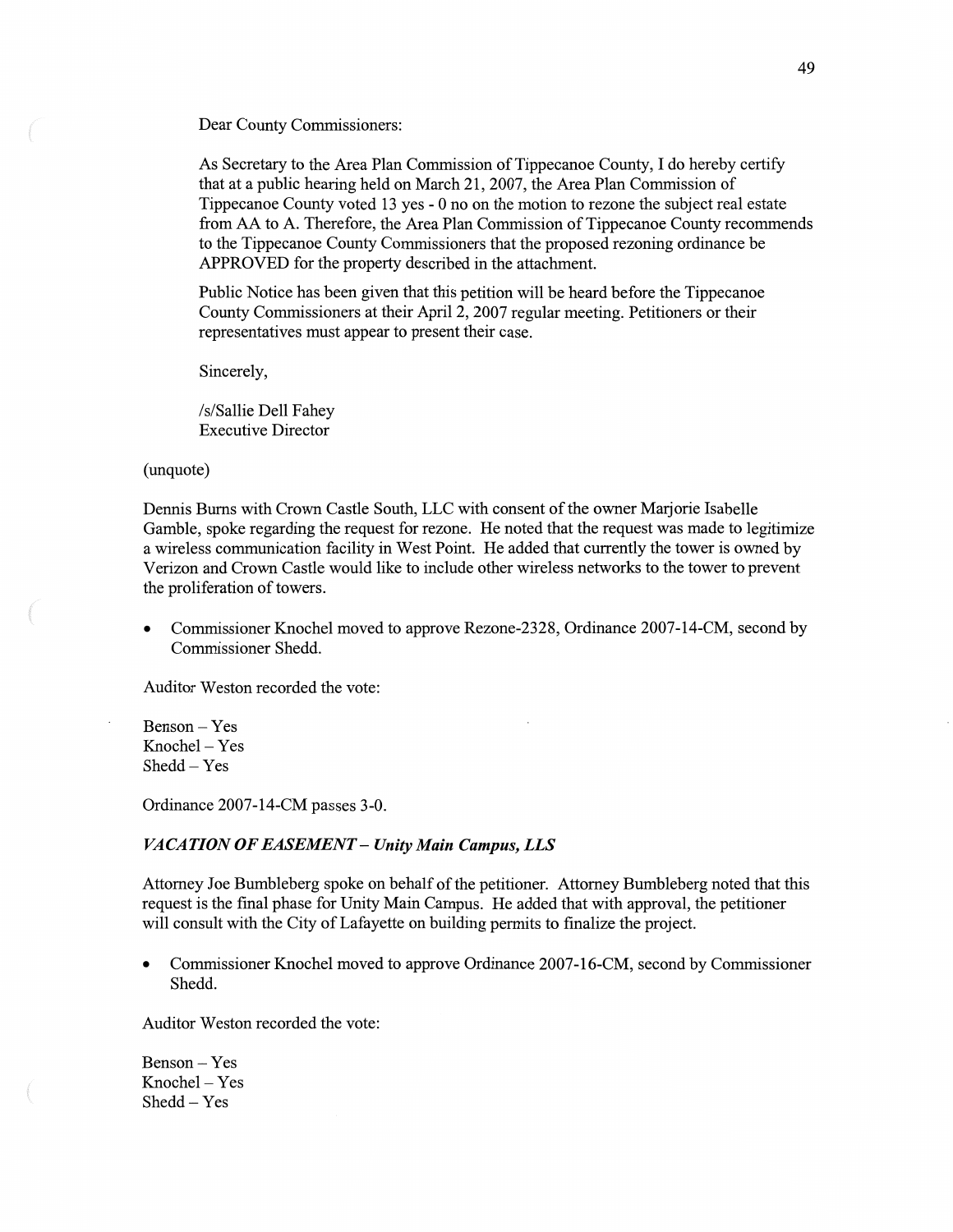Dear County Commissioners:

As Secretary to the Area **Plan Commission** of **Tippecanoe** County, I do hereby certify **that** at a public hearing held on March 21, 2007, the Area Plan Commission of Tippecanoe County voted 13 yes *-* 0 no on the motion to rezone the subject real estate from AA to A. Therefore, the Area Plan **Commission** of Tippecanoe County recommends to the Tippecanoe County Commissioners that the proposed rezoning **ordinance** be APPROVED for the property described in the attachment.

Public Notice has been given that this petition will be heard before the Tippecanoe County Commissioners at their April 2, 2007 regular meeting. Petitioners or their representatives must appear to present their case.

Sincerely,

/s/ Sallie Dell Fahey **Executive** Director

#### (unquote)

Dennis Burns with Crown Castle South, LLC with consent of the owner Marjorie Isabelle Gamble, spoke regarding the request for rezone. He noted **that** the request was made to legitimize a wireless communication facility in West Point. He added that currently the tower is **owned** by Verizon and Crown Castle would like to include other wireless networks to the tower to prevent the proliferation of towers.

• Commissioner Knochel moved to approve Rezone-2328, Ordinance 2007-14-CM, second by Commissioner Shedd.

**Auditor** Weston recorded the vote:

Benson — Yes Knochel **—** Yes Shedd *—* Yes

man."

**Ordinance** 2007-14-CM passes 3-0.

#### *VACATION* 0F *EASEMENT* — *Unity Main Campus,* LLS

Attorney Joe Bumbleberg **spoke** on behalf of the **petitioner.** Attorney Bumbleberg **noted** that this request is the final phase for Unity Main Campus. He added **that** with approval, the petitioner will **consult** with the City of Lafayette on building permits to **finalize** the project.

• Commissioner Knochel moved to approve Ordinance 2007-16-CM, second by Commissioner Shedd.

Auditor Weston recorded the vote:

**Benson** *—* Yes  $Knochel - Yes$ **Shedd** — Yes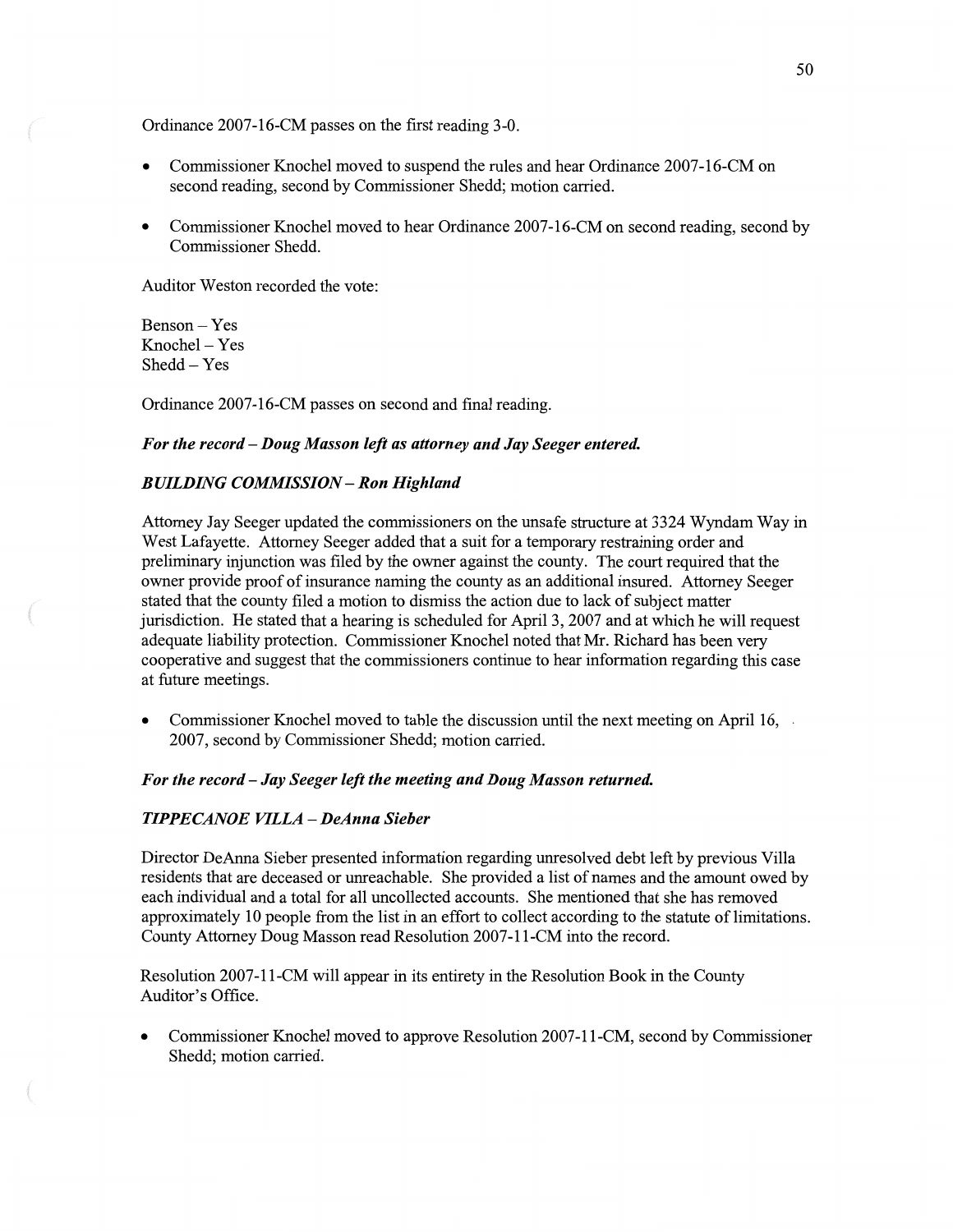**Ordinance** 2007-16-CM passes on the first reading 3-0.

- **0 Commissioner** Knochel moved to suspend the rules and hear Ordinance 2007-16-CM on second reading, **second** by Commissioner Shedd; **motion** carried.
- **0** Commissioner **Knochel moved** to hear Ordinance 2007-16-CM on second reading, second by Commissioner Shedd.

Auditor Weston recorded the **vote:** 

Benson *—* Yes Knochel – Yes Shedd — Yes

Ordinance 2007-16-CM passes on **second** and final reading.

### For the *record* **—** *Doug Masson* left as *attorney* and Jay *Seeger entered.*

# *BUILDING COMMISSION* **—** Ron *Highland*

Attorney Jay Seeger updated the commissioners on the unsafe structure at 3324 Wyndam Way in West Lafayette. Attorney Seeger added **that** a **suit** for a temporary restraining order and preliminary **injunction** was filed by the owner against the county. The court required that the owner provide proof of insurance naming the county as an additional insured. Attorney Seeger stated **that** the county filed **a** motion to dismiss the action due to lack of subject matter jurisdiction. He stated that a hearing is scheduled for April 3, 2007 and at **which** he will request adequate liability protection. Commissioner Knochel noted that Mr. Richard has been very **cooperative** and suggest **that** the commissioners continue to hear **information** regarding this **case**  at future meetings.

**0** Commissioner Knochel moved to table the discussion until the **next** meeting on April 16, *.* 2007, second by Commissioner Shedd; motion carried.

#### For the *record* **—** Jay *Seeger left* the *meeting* and *Doug Masson returned.*

#### *HPPECANOE VILLA* **—** *DeAnna Sieber*

Director **DeAnna** Sieber presented **information** regarding unresolved debt left by previous Villa residents that are deceased or unreachable. She provided a list of names and the amount owed by each individual and a total for all uncollected accounts. She **mentioned** that she has removed approximately 10 people from the list in an effort to collect according to the statute of limitations. County Attorney Doug Masson read Resolution 2007-11-CM **into** the record.

Resolution 2007-11-CM will appear in its entirety in the Resolution Book in the County Auditor's Office.

*0* **Commissioner Knochel** moved to approve **Resolution** 2007-11-CM, second by Commissioner Shedd; motion carried.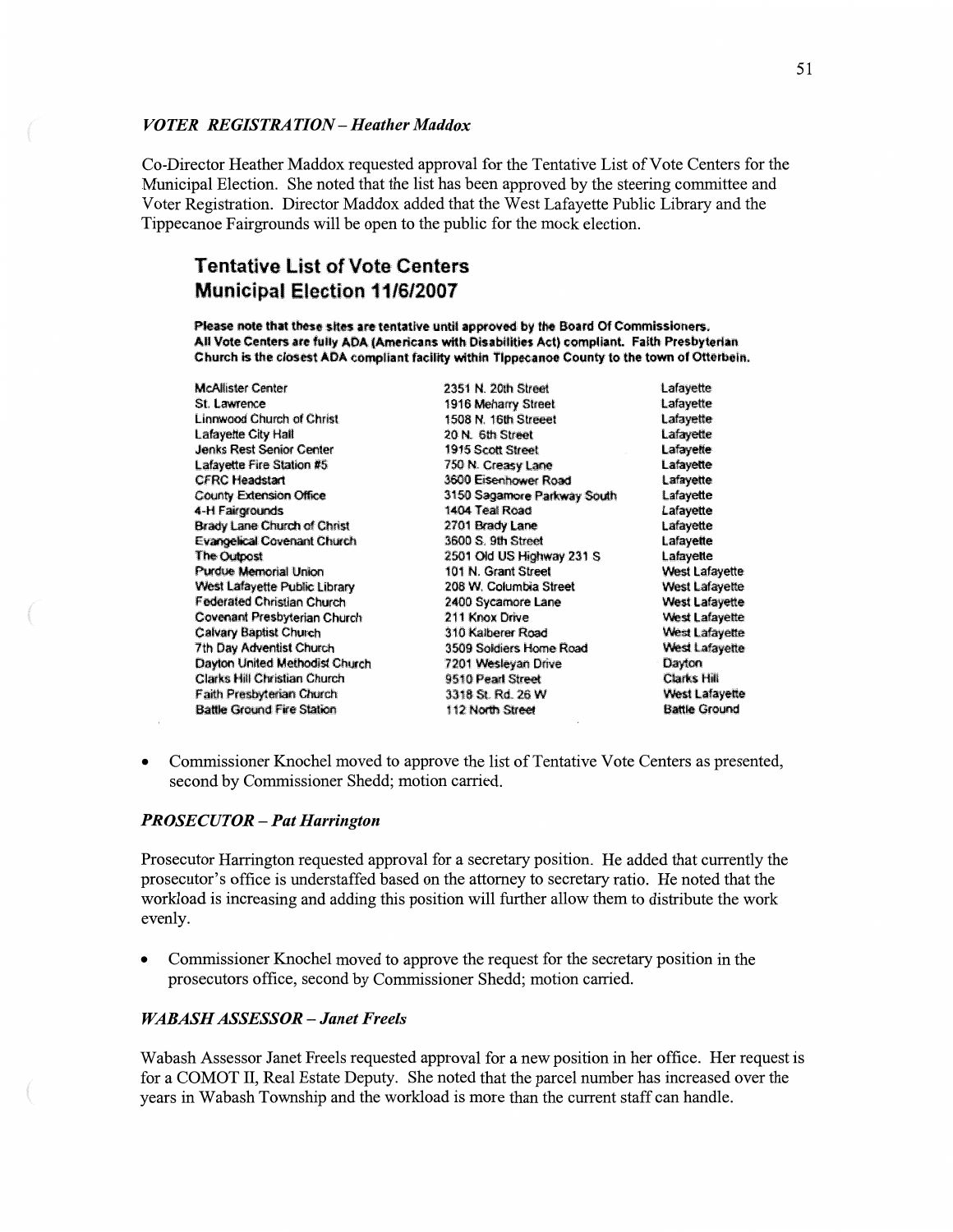#### *VOTER* RE *GISTRA TION* **—** *Heather Maddox*

Co-Director **Heather Maddox** requested approval for the Tentative List of Vote Centers for the Municipal Election. She **noted** that the **list** has been **approved** by the **steering committee** and Voter Registration. Director Maddox added that the West Lafayette Public Library and the Tippecanoe Fairgrounds will be open to the public for the **mock** election.

# **Tentative List of Vote Centers Municipal Election 11/6/2007**

Please note that these sites are tentative until approved by the Board Of Commissioners. £1l **teams** are **fail!** *m* **mucus** with Disabilities Act) **cmpliant. Faith** Presbyterian Church is the closest ADA compliant facility within Tippecanoe County to the town of Otterbein.

**Jenks Rest Senior Center** CFRC Headstart<br>County Extension Office County State 3150 Sagamore Parkwa **Purdue Memorial Union Clarks Hill Christian Church** 

Mcflisler Cm 2351 N. 20th Street **Lafayette**  5t. Lawrence **1916 Meharry Street 1916 Lafayette 1916 Lefayette 1508 R.** 1508 N. 16th Street **1508** Linnwood Church of Christ **1508 N. 16th Street** 1508 **Lafayette** Lafayette City Half 20: No. 61, 20: N. 61, Street Cafayette City Half 20: N. 631s Street Cafayette Lafayette<br>1915 Scott Street Cafayette Lafayette Cafayette Cafayette Cafayette Cafayette Cafayette Cafayette Cafayette C Lafayette Fire Station #5<sup>-</sup> 750 N. Creasy Lane CFRC Headstart Lafayette<br>CFRC Headstart CFRC Headstart CFRC Headstart CFRC Headstart CFRC Headstart CFRC Headstart CFRC Headstart CFRC H County Extension Office **3150 Sagamore Parkway South** Lafayette<br>3150 Sagamore Parkway South Lafayette 4-H PM **140-:** 758 Road **Lafayette**  Brady Lane Church of Christ **2701 Brady Lane Lafayette** Evangelical Covenant Church **1960 8.** 9th Street **and Street Lafayette The Outpost 1880** Lafayette **The Outpost 2501 Old US Highway 231 S. Lafayette**<br>101 N. Grant Street **West Lafayette** Was! Marietta Pubiicijbraw .203 W, **Calumbia** Sirens! Wen-u Lafayette Federated Christian Church **2400 Sycamore Lane West Lafayette** Covenant Presbyterian Church **facts** 211 Knox Drive **Facts of the Mest Lafayette** Calvary Baptist Church **Calvary** Calvary Baptist Church **310 Kaiberer Road** West Lafayette **West Lafayette**<br>
3509 Soldiers Home Road West Lafayette **West Lafayette** 3509 Soldiers Home Road<br>7201 Wesleyan Drive **Dayiun United** Hem emu 320% mm Dave mm **Fain!** 9mm **cm** 3318 SI. Rd. 26 **W** "East which Battle Ground Fire Station 112 North Street 83116 Sheet Battle Ground

**0** Commissioner Knochel moved to approve the list of **Tentative** Vote Centers as presented, second by Commissioner Shedd; **motion** carried.

#### **PROSECUTOR - Pat Harrington**

Prosecutor Harrington requested approval for a secretary position. He **added that** currently the prosecutor's office is understaffed based on the attorney to secretary ratio. He noted that the workload is increasing and adding this position will further allow them to distribute the work evenly.

**0** Commissioner Knochel **moved** to approve the request for the secretary position in the prosecutors office, second by Commissioner Shedd; **motion** carried.

### *WABASH ASSESSOR* **—** *Janet Freels*

Wabash Assessor Janet Freels requested approval for a new **position** in her office. Her request is for a COMOT II, Real Estate Deputy. She noted **that** the parcel number has increased over the years in Wabash **Township** and the **workload** is more than the current staff can handle.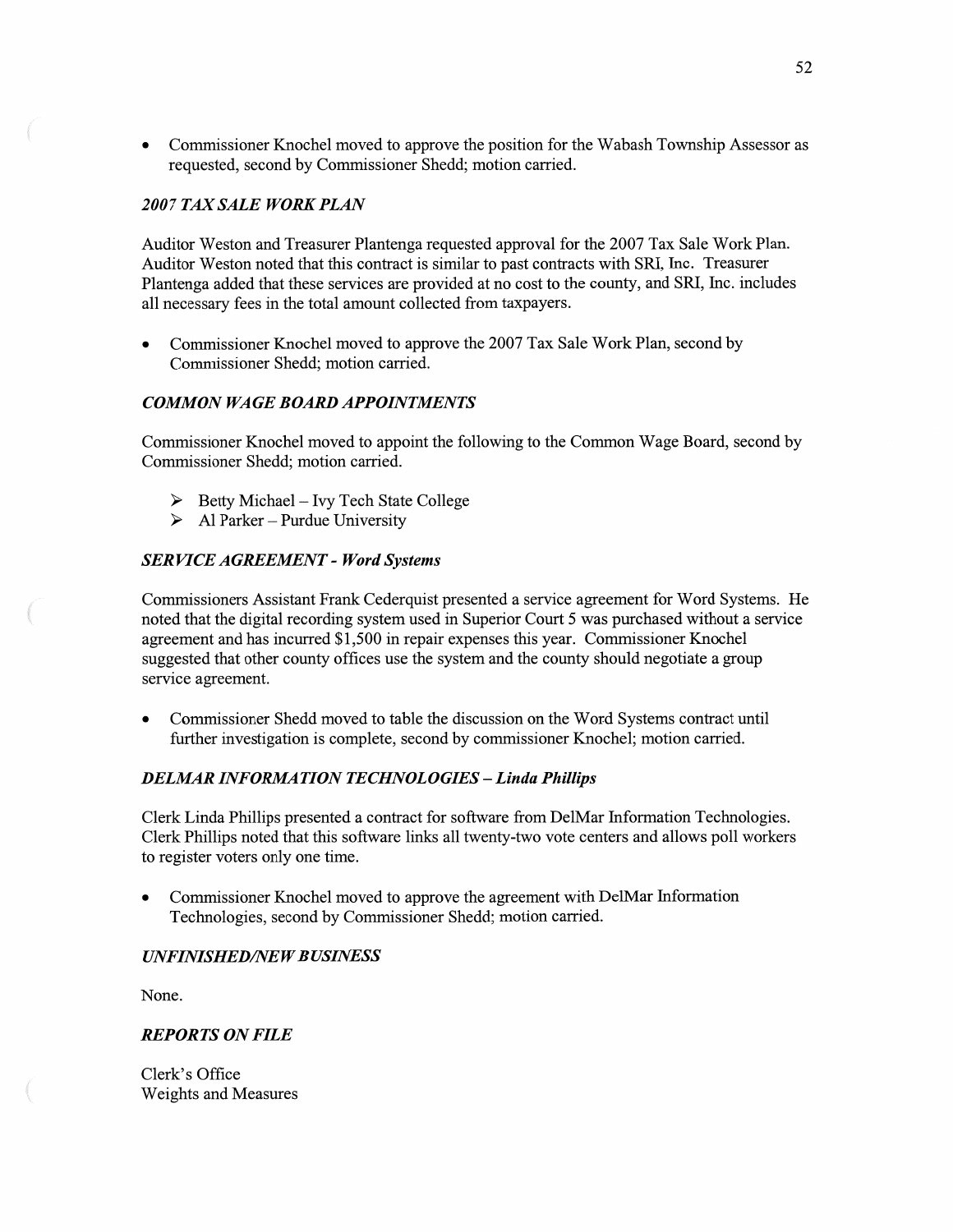**0** Commissioner Knochel moved to approve the position for the Wabash Township Assessor as requested, **second** by Commissioner Shedd; motion carried.

## *2007* TAX *SALE WORK PLAN*

Auditor Weston and Treasurer Plantenga requested approval for the 2007 Tax Sale Work Plan. Auditor Weston noted that this contract is similar to past contracts with SR1, **Inc.** Treasurer Plantenga added that these services are provided at no cost to the county, and SRI, Inc. includes all necessary fees in the total amount collected from taxpayers.

**0** Commissioner Knochel moved to approve the 2007 Tax Sale Work Plan, second by Commissioner Shedd; motion carried.

# *COMMON* WA GE *BOARD APPOINTMENTS*

Commissioner Knochel moved to appoint the following to the Common Wage Board, second by Commissioner Shedd; **motion** carried.

- $\triangleright$  Betty Michael Ivy Tech State College
- $\triangleright$  Al Parker Purdue University

## SER *VICE AGREEMENT* **—** *Word Systems*

Commissioners Assistant Frank Cederquist presented a service agreement for Word Systems. He noted that the digital recording system used in Superior Court 5 was purchased without **a** service agreement and has incurred \$1,500 in repair expenses this year. Commissioner Knochel suggested that other county offices use the system and the county should negotiate a group service agreement.

**0** Commissioner Shedd moved to table the discussion on the Word Systems contract until further investigation is complete, second by commissioner Knochel; motion carried.

# *DELMAR INFORMATION TECHNOLOGIES* — *Linda Phillips*

Clerk Linda **Phillips** presented a contract for software fiom DelMar Information Technologies. Clerk Phillips noted that **this** software **links** all twenty-two vote centers and allows poll workers to register voters only one time.

**0** Commissioner Knochel **moved** to approve the agreement with DelMar Information Technologies, second by Commissioner Shedd; motion carried.

## *UNFINISHEDflVEWBUSINESS*

None.

 $\overline{a}$ 

## *REPORTS* ON *FILE*

Clerk's Office Weights and Measures